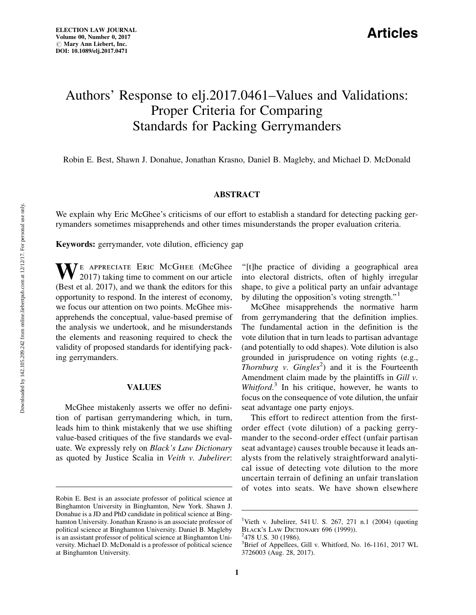## Articles

# Authors' Response to elj.2017.0461–Values and Validations: Proper Criteria for Comparing Standards for Packing Gerrymanders

Robin E. Best, Shawn J. Donahue, Jonathan Krasno, Daniel B. Magleby, and Michael D. McDonald

## ABSTRACT

We explain why Eric McGhee's criticisms of our effort to establish a standard for detecting packing gerrymanders sometimes misapprehends and other times misunderstands the proper evaluation criteria.

Keywords: gerrymander, vote dilution, efficiency gap

WE APPRECIATE ERIC McGHEE (McGhee 2017) taking time to comment on our article (Best et al. 2017), and we thank the editors for this opportunity to respond. In the interest of economy, we focus our attention on two points. McGhee misapprehends the conceptual, value-based premise of the analysis we undertook, and he misunderstands the elements and reasoning required to check the validity of proposed standards for identifying packing gerrymanders.

#### VALUES

McGhee mistakenly asserts we offer no definition of partisan gerrymandering which, in turn, leads him to think mistakenly that we use shifting value-based critiques of the five standards we evaluate. We expressly rely on Black's Law Dictionary as quoted by Justice Scalia in Veith v. Jubelirer:

''[t]he practice of dividing a geographical area into electoral districts, often of highly irregular shape, to give a political party an unfair advantage by diluting the opposition's voting strength. $^{\prime\prime}$ <sup>1</sup>

McGhee misapprehends the normative harm from gerrymandering that the definition implies. The fundamental action in the definition is the vote dilution that in turn leads to partisan advantage (and potentially to odd shapes). Vote dilution is also grounded in jurisprudence on voting rights (e.g., Thornburg v.  $Gingles^2$ ) and it is the Fourteenth Amendment claim made by the plaintiffs in Gill v. Whitford.<sup>3</sup> In his critique, however, he wants to focus on the consequence of vote dilution, the unfair seat advantage one party enjoys.

This effort to redirect attention from the firstorder effect (vote dilution) of a packing gerrymander to the second-order effect (unfair partisan seat advantage) causes trouble because it leads analysts from the relatively straightforward analytical issue of detecting vote dilution to the more uncertain terrain of defining an unfair translation of votes into seats. We have shown elsewhere

 $2478$  U.S. 30 (1986).

Robin E. Best is an associate professor of political science at Binghamton University in Binghamton, New York. Shawn J. Donahue is a JD and PhD candidate in political science at Binghamton University. Jonathan Krasno is an associate professor of political science at Binghamton University. Daniel B. Magleby is an assistant professor of political science at Binghamton University. Michael D. McDonald is a professor of political science at Binghamton University.

<sup>&</sup>lt;sup>1</sup>Vieth v. Jubelirer, 541 U. S. 267, 271 n.1 (2004) (quoting BLACK'S LAW DICTIONARY 696 (1999)).

<sup>&</sup>lt;sup>3</sup>Brief of Appellees, Gill v. Whitford, No. 16-1161, 2017 WL 3726003 (Aug. 28, 2017).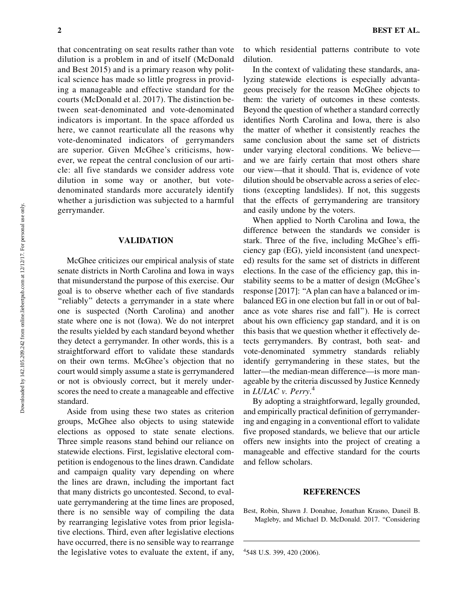that concentrating on seat results rather than vote dilution is a problem in and of itself (McDonald and Best 2015) and is a primary reason why political science has made so little progress in providing a manageable and effective standard for the courts (McDonald et al. 2017). The distinction between seat-denominated and vote-denominated indicators is important. In the space afforded us here, we cannot rearticulate all the reasons why vote-denominated indicators of gerrymanders are superior. Given McGhee's criticisms, however, we repeat the central conclusion of our article: all five standards we consider address vote dilution in some way or another, but votedenominated standards more accurately identify whether a jurisdiction was subjected to a harmful gerrymander.

### VALIDATION

McGhee criticizes our empirical analysis of state senate districts in North Carolina and Iowa in ways that misunderstand the purpose of this exercise. Our goal is to observe whether each of five standards "reliably" detects a gerrymander in a state where one is suspected (North Carolina) and another state where one is not (Iowa). We do not interpret the results yielded by each standard beyond whether they detect a gerrymander. In other words, this is a straightforward effort to validate these standards on their own terms. McGhee's objection that no court would simply assume a state is gerrymandered or not is obviously correct, but it merely underscores the need to create a manageable and effective standard.

Aside from using these two states as criterion groups, McGhee also objects to using statewide elections as opposed to state senate elections. Three simple reasons stand behind our reliance on statewide elections. First, legislative electoral competition is endogenous to the lines drawn. Candidate and campaign quality vary depending on where the lines are drawn, including the important fact that many districts go uncontested. Second, to evaluate gerrymandering at the time lines are proposed, there is no sensible way of compiling the data by rearranging legislative votes from prior legislative elections. Third, even after legislative elections have occurred, there is no sensible way to rearrange the legislative votes to evaluate the extent, if any,

2 BEST ET AL.

to which residential patterns contribute to vote dilution.

In the context of validating these standards, analyzing statewide elections is especially advantageous precisely for the reason McGhee objects to them: the variety of outcomes in these contests. Beyond the question of whether a standard correctly identifies North Carolina and Iowa, there is also the matter of whether it consistently reaches the same conclusion about the same set of districts under varying electoral conditions. We believe and we are fairly certain that most others share our view—that it should. That is, evidence of vote dilution should be observable across a series of elections (excepting landslides). If not, this suggests that the effects of gerrymandering are transitory and easily undone by the voters.

When applied to North Carolina and Iowa, the difference between the standards we consider is stark. Three of the five, including McGhee's efficiency gap (EG), yield inconsistent (and unexpected) results for the same set of districts in different elections. In the case of the efficiency gap, this instability seems to be a matter of design (McGhee's response [2017]: ''A plan can have a balanced or imbalanced EG in one election but fall in or out of balance as vote shares rise and fall''). He is correct about his own efficiency gap standard, and it is on this basis that we question whether it effectively detects gerrymanders. By contrast, both seat- and vote-denominated symmetry standards reliably identify gerrymandering in these states, but the latter—the median-mean difference—is more manageable by the criteria discussed by Justice Kennedy in LULAC v. Perry.<sup>4</sup>

By adopting a straightforward, legally grounded, and empirically practical definition of gerrymandering and engaging in a conventional effort to validate five proposed standards, we believe that our article offers new insights into the project of creating a manageable and effective standard for the courts and fellow scholars.

#### **REFERENCES**

Best, Robin, Shawn J. Donahue, Jonathan Krasno, Daneil B. Magleby, and Michael D. McDonald. 2017. ''Considering

<sup>4</sup> 548 U.S. 399, 420 (2006).